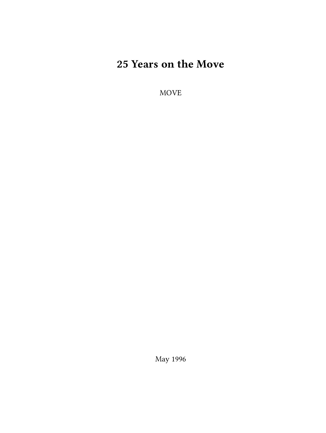# **25 Years on the Move**

MOVE

May 1996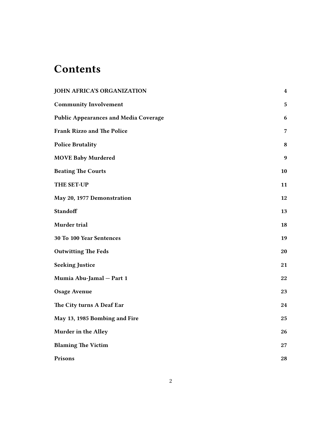# **Contents**

| <b>JOHN AFRICA'S ORGANIZATION</b>            | $\overline{\mathbf{4}}$ |
|----------------------------------------------|-------------------------|
| <b>Community Involvement</b>                 | $\overline{5}$          |
| <b>Public Appearances and Media Coverage</b> | 6                       |
| <b>Frank Rizzo and The Police</b>            | 7                       |
| <b>Police Brutality</b>                      | 8                       |
| <b>MOVE Baby Murdered</b>                    | 9                       |
| <b>Beating The Courts</b>                    | 10                      |
| <b>THE SET-UP</b>                            | 11                      |
| May 20, 1977 Demonstration                   | 12                      |
| <b>Standoff</b>                              | 13                      |
| Murder trial                                 | 18                      |
| 30 To 100 Year Sentences                     | 19                      |
| <b>Outwitting The Feds</b>                   | 20                      |
| <b>Seeking Justice</b>                       | 21                      |
| Mumia Abu-Jamal - Part 1                     | 22                      |
| <b>Osage Avenue</b>                          | 23                      |
| The City turns A Deaf Ear                    | 24                      |
| May 13, 1985 Bombing and Fire                | 25                      |
| Murder in the Alley                          | 26                      |
| <b>Blaming The Victim</b>                    | 27                      |
| Prisons                                      | 28                      |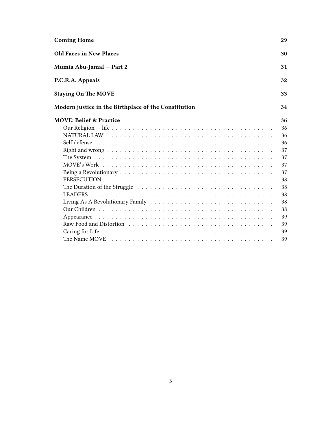| <b>Coming Home</b>                                                                                           | 29 |  |  |  |
|--------------------------------------------------------------------------------------------------------------|----|--|--|--|
| Old Faces in New Places                                                                                      | 30 |  |  |  |
| Mumia Abu-Jamal — Part 2                                                                                     |    |  |  |  |
| P.C.R.A. Appeals                                                                                             | 32 |  |  |  |
| <b>Staying On The MOVE</b>                                                                                   | 33 |  |  |  |
| Modern justice in the Birthplace of the Constitution                                                         | 34 |  |  |  |
| <b>MOVE: Belief &amp; Practice</b>                                                                           | 36 |  |  |  |
|                                                                                                              | 36 |  |  |  |
|                                                                                                              | 36 |  |  |  |
|                                                                                                              | 36 |  |  |  |
| Right and wrong $\ldots \ldots \ldots \ldots \ldots \ldots \ldots \ldots \ldots \ldots \ldots \ldots \ldots$ | 37 |  |  |  |
|                                                                                                              | 37 |  |  |  |
|                                                                                                              | 37 |  |  |  |
|                                                                                                              | 37 |  |  |  |
|                                                                                                              | 38 |  |  |  |
|                                                                                                              | 38 |  |  |  |
|                                                                                                              | 38 |  |  |  |
|                                                                                                              | 38 |  |  |  |
|                                                                                                              | 38 |  |  |  |
|                                                                                                              | 39 |  |  |  |
|                                                                                                              | 39 |  |  |  |
|                                                                                                              | 39 |  |  |  |
|                                                                                                              | 39 |  |  |  |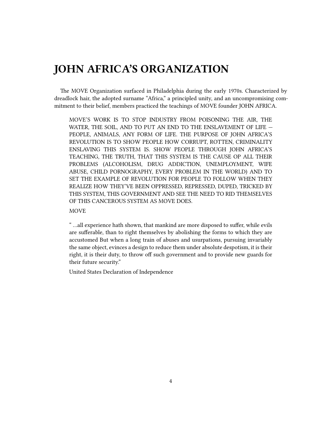# <span id="page-3-0"></span>**JOHN AFRICA'S ORGANIZATION**

The MOVE Organization surfaced in Philadelphia during the early 1970s. Characterized by dreadlock hair, the adopted surname "Africa," a principled unity, and an uncompromising commitment to their belief, members practiced the teachings of MOVE founder JOHN AFRICA.

MOVE'S WORK IS TO STOP INDUSTRY FROM POISONING THE AIR, THE WATER, THE SOIL, AND TO PUT AN END TO THE ENSLAVEMENT OF LIFE  $-$ PEOPLE, ANIMALS, ANY FORM OF LIFE. THE PURPOSE OF JOHN AFRICA'S REVOLUTION IS TO SHOW PEOPLE HOW CORRUPT, ROTTEN, CRIMINALITY ENSLAVING THIS SYSTEM IS. SHOW PEOPLE THROUGH JOHN AFRICA'S TEACHING, THE TRUTH, THAT THIS SYSTEM IS THE CAUSE OP ALL THEIR PROBLEMS (ALCOHOLISM, DRUG ADDICTION, UNEMPLOYMENT, WIFE ABUSE, CHILD PORNOGRAPHY, EVERY PROBLEM IN THE WORLD) AND TO SET THE EXAMPLE OF REVOLUTION FOR PEOPLE TO FOLLOW WHEN THEY REALIZE HOW THEY'VE BEEN OPPRESSED, REPRESSED, DUPED, TRICKED BY THIS SYSTEM, THIS GOVERNMENT AND SEE THE NEED TO RID THEMSELVES OF THIS CANCEROUS SYSTEM AS MOVE DOES.

MOVE

" …all experience hath shown, that mankind are more disposed to suffer, while evils are sufferable, than to right themselves by abolishing the forms to which they are accustomed But when a long train of abuses and usurpations, pursuing invariably the same object, evinces a design to reduce them under absolute despotism, it is their right, it is their duty, to throw off such government and to provide new guards for their future security."

United States Declaration of Independence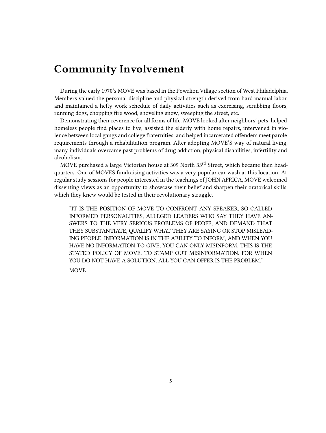### <span id="page-4-0"></span>**Community Involvement**

During the early 1970's MOVE was based in the Powrlion Village section of West Philadelphia. Members valued the personal discipline and physical strength derived from hard manual labor, and maintained a hefty work schedule of daily activities such as exercising, scrubbing floors, running dogs, chopping fire wood, shoveling snow, sweeping the street, etc.

Demonstrating their reverence for all forms of life. MOVE looked after neighbors' pets, helped homeless people find places to live, assisted the elderly with home repairs, intervened in violence between local gangs and college fraternities, and helped incarcerated offenders meet parole requirements through a rehabilitation program. After adopting MOVE'S way of natural living, many individuals overcame past problems of drug addiction, physical disabilities, infertility and alcoholism.

MOVE purchased a large Victorian house at 309 North 33<sup>rd</sup> Street, which became then headquarters. One of MOVES fundraising activities was a very popular car wash at this location. At regular study sessions for people interested in the teachings of JOHN AFRICA, MOVE welcomed dissenting views as an opportunity to showcase their belief and sharpen their oratorical skills, which they knew would be tested in their revolutionary struggle.

"IT IS THE POSITION OF MOVE TO CONFRONT ANY SPEAKER, SO-CALLED INFORMED PERSONALITIES, ALLEGED LEADERS WHO SAY THEY HAVE AN-SWERS TO THE VERY SERIOUS PROBLEMS OF PEOFE, AND DEMAND THAT THEY SUBSTANTIATE, QUALIFY WHAT THEY ARE SAYING OR STOP MISLEAD-ING PEOPLE. INFORMATION IS IN THE ABILITY TO INFORM, AND WHEN YOU HAVE NO INFORMATION TO GIVE, YOU CAN ONLY MISINFORM, THIS IS THE STATED POLICY OF MOVE. TO STAMP OUT MISINFORMATION. FOR WHEN YOU DO NOT HAVE A SOLUTION, ALL YOU CAN OFFER IS THE PROBLEM." MOVE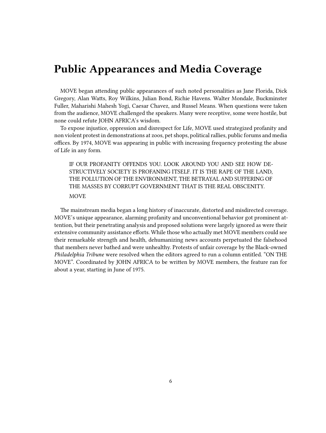# <span id="page-5-0"></span>**Public Appearances and Media Coverage**

MOVE began attending public appearances of such noted personalities as Jane Florida, Dick Gregory, Alan Watts, Roy Wilkins, Julian Bond, Richie Havens. Walter Mondale, Buckminster Fuller, Maharishi Mahesh Yogi, Caesar Chavez, and Russel Means. When questions were taken from the audience, MOVE challenged the speakers. Many were receptive, some were hostile, but none could refute JOHN AFRICA's wisdom.

To expose injustice, oppression and disrespect for Life, MOVE used strategized profanity and non violent protest in demonstrations at zoos, pet shops, political rallies, public forums and media offices. By 1974, MOVE was appearing in public with increasing frequency protesting the abuse of Life in any form.

IF OUR PROFANITY OFFENDS YOU. LOOK AROUND YOU AND SEE HOW DE-STRUCTIVELY SOCIETY IS PROFANING ITSELF. IT IS THE RAPE OF THE LAND, THE POLLUTION OF THE ENVIRONMENT, THE BETRAYAL AND SUFFERING OF THE MASSES BY CORRUPT GOVERNMENT THAT IS THE REAL OBSCENITY. **MOVE** 

The mainstream media began a long history of inaccurate, distorted and misdirected coverage. MOVE's unique appearance, alarming profanity and unconventional behavior got prominent attention, but their penetrating analysis and proposed solutions were largely ignored as were their extensive community assistance efforts. While those who actually met MOVE members could see their remarkable strength and health, dehumanizing news accounts perpetuated the falsehood that members never bathed and were unhealthy. Protests of unfair coverage by the Black-owned *Philadelphia Tribune* were resolved when the editors agreed to run a column entitled. "ON THE MOVE". Coordinated by JOHN AFRICA to be written by MOVE members, the feature ran for about a year, starting in June of 1975.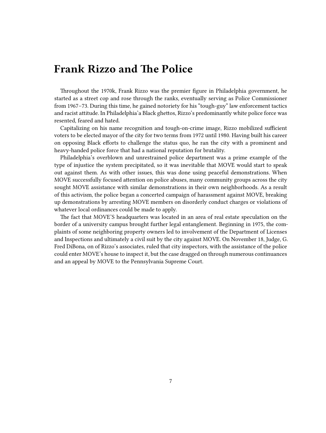### <span id="page-6-0"></span>**Frank Rizzo and The Police**

Throughout the 1970k, Frank Rizzo was the premier figure in Philadelphia government, he started as a street cop and rose through the ranks, eventually serving as Police Commissioner from 1967–73. During this time, he gained notoriety for his "tough-guy" law enforcement tactics and racist attitude. In Philadelphia'a Black ghettos, Rizzo's predominantly white police force was resented, feared and hated.

Capitalizing on his name recognition and tough-on-crime image, Rizzo mobilized sufficient voters to be elected mayor of the city for two terms from 1972 until 1980. Having built his career on opposing Black efforts to challenge the status quo, he ran the city with a prominent and heavy-handed police force that had a national reputation for brutality.

Philadelphia's overblown and unrestrained police department was a prime example of the type of injustice the system precipitated, so it was inevitable that MOVE would start to speak out against them. As with other issues, this was done using peaceful demonstrations. When MOVE successfully focused attention on police abuses, many community groups across the city sought MOVE assistance with similar demonstrations in their own neighborhoods. As a result of this activism, the police began a concerted campaign of harassment against MOVE, breaking up demonstrations by arresting MOVE members on disorderly conduct charges or violations of whatever local ordinances could be made to apply.

The fact that MOVE'S headquarters was located in an area of real estate speculation on the border of a university campus brought further legal entanglement. Beginning in 1975, the complaints of some neighboring property owners led to involvement of the Department of Licenses and Inspections and ultimately a civil suit by the city against MOVE. On November 18, Judge, G. Fred DiBona, on of Rizzo's associates, ruled that city inspectors, with the assistance of the police could enter MOVE's house to inspect it, but the case dragged on through numerous continuances and an appeal by MOVE to the Pennsylvania Supreme Court.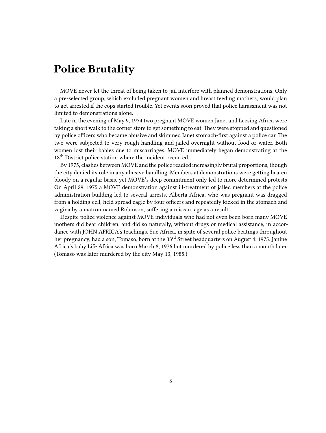# <span id="page-7-0"></span>**Police Brutality**

MOVE never let the threat of being taken to jail interfere with planned demonstrations. Only a pre-selected group, which excluded pregnant women and breast feeding mothers, would plan to get arrested if the cops started trouble. Yet events soon proved that police harassment was not limited to demonstrations alone.

Late in the evening of May 9, 1974 two pregnant MOVE women Janet and Leesing Africa were taking a short walk to the corner store to get something to eat. They were stopped and questioned by police officers who became abusive and skimmed Janet stomach-first against a police car. The two were subjected to very rough handling and jailed overnight without food or water. Both women lost their babies due to miscarriages. MOVE immediately began demonstrating at the 18<sup>th</sup> District police station where the incident occurred.

By 1975, clashes between MOVE and the police readied increasingly brutal proportions, though the city denied its role in any abusive handling. Members at demonstrations were getting beaten bloody on a regular basis, yet MOVE's deep commitment only led to more determined protests On April 29. 1975 a MOVE demonstration against ill-treatment of jailed members at the police administration building led to several arrests. Alberta Africa, who was pregnant was dragged from a holding cell, held spread eagle by four officers and repeatedly kicked in the stomach and vagina by a matron named Robinson, suffering a miscarriage as a result.

Despite police violence against MOVE individuals who had not even been born many MOVE mothers did bear children, and did so naturally, without drugs or medical assistance, in accordance with JOHN AFRICA's teachings. Sue Africa, in spite of several police beatings throughout her pregnancy, had a son, Tomaso, born at the 33<sup>rd</sup> Street headquarters on August 4, 1975. Janine Africa's baby Life Africa was born March 8, 1976 but murdered by police less than a month later. (Tomaso was later murdered by the city May 13, 1985.)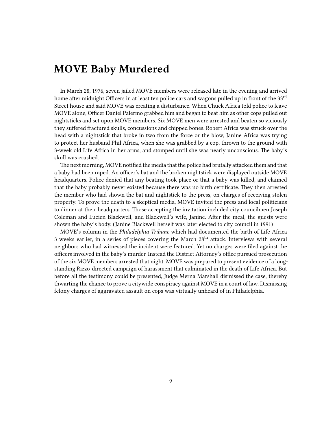### <span id="page-8-0"></span>**MOVE Baby Murdered**

In March 28, 1976, seven jailed MOVE members were released late in the evening and arrived home after midnight Officers in at least ten police cars and wagons pulled up in front of the 33<sup>rd</sup> Street house and said MOVE was creating a disturbance. When Chuck Africa told police to leave MOVE alone, Officer Daniel Palermo grabbed him and began to beat him as other cops pulled out nightsticks and set upon MOVE members. Six MOVE men were arrested and beaten so viciously they suffered fractured skulls, concussions and chipped bones. Robert Africa was struck over the head with a nightstick that broke in two from the force or the blow, Janine Africa was trying to protect her husband Phil Africa, when she was grabbed by a cop, thrown to the ground with 3-week old Life Africa in her arms, and stomped until she was nearly unconscious. The baby's skull was crushed.

The next morning, MOVE notified the media that the police had brutally attacked them and that a baby had been raped. An officer's bat and the broken nightstick were displayed outside MOVE headquarters. Police denied that any beating took place or that a baby was killed, and claimed that the baby probably never existed because there was no birth certificate. They then arrested the member who had shown the bat and nightstick to the press, on charges of receiving stolen property. To prove the death to a skeptical media, MOVE invited the press and local politicians to dinner at their headquarters. Those accepting the invitation included city councilmen Joseph Coleman and Lucien Blackwell, and Blackwell's wife, Janine. After the meal, the guests were shown the baby's body. (Janine Blackwell herself was later elected to city council in 1991)

MOVE's column in the *Philadelphia Tribune* which had documented the birth of Life Africa 3 weeks earlier, in a series of pieces covering the March 28<sup>th</sup> attack. Interviews with several neighbors who had witnessed the incident were featured. Yet no charges were filed against the officers involved in the baby's murder. Instead the District Attorney's office pursued prosecution of the six MOVE members arrested that night. MOVE was prepared to present evidence of a longstanding Rizzo-directed campaign of harassment that culminated in the death of Life Africa. But before all the testimony could be presented, Judge Merna Marshall dismissed the case, thereby thwarting the chance to prove a citywide conspiracy against MOVE in a court of law. Dismissing felony charges of aggravated assault on cops was virtually unheard of in Philadelphia.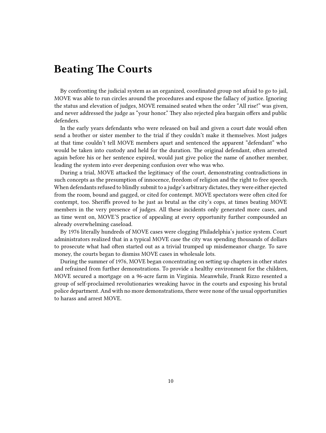# <span id="page-9-0"></span>**Beating The Courts**

By confronting the judicial system as an organized, coordinated group not afraid to go to jail, MOVE was able to run circles around the procedures and expose the fallacy of justice. Ignoring the status and elevation of judges, MOVE remained seated when the order "All rise!" was given, and never addressed the judge as "your honor." They also rejected plea bargain offers and public defenders.

In the early years defendants who were released on bail and given a court date would often send a brother or sister member to the trial if they couldn't make it themselves. Most judges at that time couldn't tell MOVE members apart and sentenced the apparent "defendant" who would be taken into custody and held for the duration. The original defendant, often arrested again before his or her sentence expired, would just give police the name of another member, leading the system into ever deepening confusion over who was who.

During a trial, MOVE attacked the legitimacy of the court, demonstrating contradictions in such concepts as the presumption of innocence, freedom of religion and the right to free speech. When defendants refused to blindly submit to a judge's arbitrary dictates, they were either ejected from the room, bound and gagged, or cited for contempt. MOVE spectators were often cited for contempt, too. Sheriffs proved to he just as brutal as the city's cops, at times beating MOVE members in the very presence of judges. All these incidents only generated more cases, and as time went on, MOVE'S practice of appealing at every opportunity further compounded an already overwhelming caseload.

By 1976 literally hundreds of MOVE cases were clogging Philadelphia's justice system. Court administrators realized that in a typical MOVE case the city was spending thousands of dollars to prosecute what had often started out as a trivial trumped up misdemeanor charge. To save money, the courts began to dismiss MOVE cases in wholesale lots.

During the summer of 1976, MOVE began concentrating on setting up chapters in other states and refrained from further demonstrations. To provide a healthy environment for the children, MOVE secured a mortgage on a 96-acre farm in Virginia. Meanwhile, Frank Rizzo resented a group of self-proclaimed revolutionaries wreaking havoc in the courts and exposing his brutal police department. And with no more demonstrations, there were none of the usual opportunities to harass and arrest MOVE.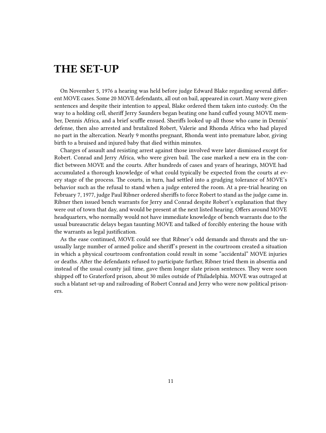# <span id="page-10-0"></span>**THE SET-UP**

On November 5, 1976 a hearing was held before judge Edward Blake regarding several different MOVE cases. Some 20 MOVE defendants, all out on bail, appeared in court. Many were given sentences and despite their intention to appeal, Blake ordered them taken into custody. On the way to a holding cell, sheriff Jerry Saunders began beating one hand cuffed young MOVE member, Dennis Africa, and a brief scuffle ensued. Sheriffs looked up all those who came in Dennis' defense, then also arrested and brutalized Robert, Valerie and Rhonda Africa who had played no part in the altercation. Nearly 9 months pregnant, Rhonda went into premature labor, giving birth to a bruised and injured baby that died within minutes.

Charges of assault and resisting arrest against those involved were later dismissed except for Robert. Conrad and Jerry Africa, who were given bail. The case marked a new era in the conflict between MOVE and the courts. After hundreds of cases and years of hearings, MOVE had accumulated a thorough knowledge of what could typically be expected from the courts at every stage of the process. The courts, in turn, had settled into a grudging tolerance of MOVE's behavior such as the refusal to stand when a judge entered the room. At a pre-trial hearing on February 7, 1977, judge Paul Ribner ordered sheriffs to force Robert to stand as the judge came in. Ribner then issued bench warrants for Jerry and Conrad despite Robert's explanation that they were out of town that day, and would be present at the next listed hearing. Offers around MOVE headquarters, who normally would not have immediate knowledge of bench warrants due to the usual bureaucratic delays began taunting MOVE and talked of forcibly entering the house with the warrants as legal justification.

As the ease continued, MOVE could see that Ribner's odd demands and threats and the unusually large number of armed police and sheriff's present in the courtroom created a situation in which a physical courtroom confrontation could result in some "accidental" MOVE injuries or deaths. After the defendants refused to participate further, Ribner tried them in absentia and instead of the usual county jail time, gave them longer slate prison sentences. They were soon shipped off to Graterford prison, about 30 miles outside of Philadelphia. MOVE was outraged at such a blatant set-up and railroading of Robert Conrad and Jerry who were now political prisoners.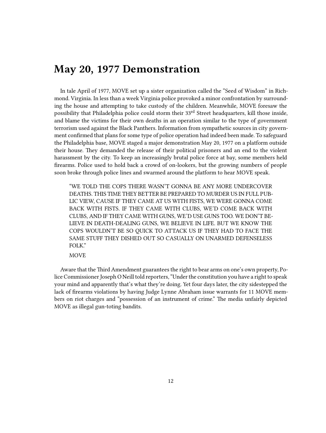### <span id="page-11-0"></span>**May 20, 1977 Demonstration**

In tale April of 1977, MOVE set up a sister organization called the "Seed of Wisdom" in Richmond. Virginia. In less than a week Virginia police provoked a minor confrontation by surrounding the house and attempting to take custody of the children. Meanwhile, MOVE foresaw the possibility that Philadelphia police could storm their 33<sup>rd</sup> Street headquarters, kill those inside, and blame the victims for their own deaths in an operation similar to the type of government terrorism used against the Black Panthers. Information from sympathetic sources in city government confirmed that plans for some type of police operation had indeed been made. To safeguard the Philadelphia base, MOVE staged a major demonstration May 20, 1977 on a platform outside their house. They demanded the release of their political prisoners and an end to the violent harassment by the city. To keep an increasingly brutal police force at bay, some members held firearms. Police used to hold back a crowd of on-lookers, but the growing numbers of people soon broke through police lines and swarmed around the platform to hear MOVE speak.

"WE TOLD THE COPS THERE WASN'T GONNA BE ANY MORE UNDERCOVER DEATHS. THIS TIME THEY BETTER BE PREPARED TO MURDER US IN FULL PUB-LIC VIEW, CAUSE IF THEY CAME AT US WITH FISTS, WE WERE GONNA COME BACK WITH FISTS. IF THEY CAME WITH CLUBS, WE'D COME BACK WITH CLUBS, AND IF THEY CAME WITH GUNS, WE'D USE GUNS TOO. WE DON'T BE-LIEVE IN DEATH-DEALING GUNS, WE BELIEVE IN LIFE. BUT WE KNOW THE COPS WOULDN'T BE SO QUICK TO ATTACK US IF THEY HAD TO FACE THE SAME STUFF THEY DISHED OUT SO CASUALLY ON UNARMED DEFENSELESS FOLK."

#### MOVE

Aware that the Third Amendment guarantees the right to bear arms on one's own property, Police Commissioner Joseph O Neill told reporters, "Under the constitution you have a right to speak your mind and apparently that's what they're doing. Yet four days later, the city sidestepped the lack of firearms violations by having Judge Lynne Abraham issue warrants for 11 MOVE members on riot charges and "possession of an instrument of crime." The media unfairly depicted MOVE as illegal gun-toting bandits.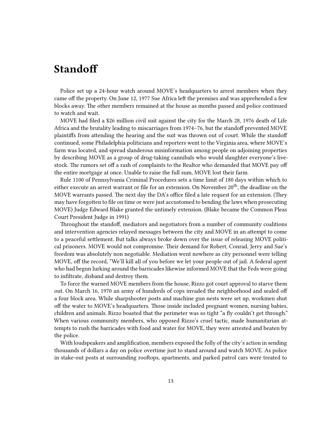# <span id="page-12-0"></span>**Standoff**

Police set up a 24-hour watch around MOVE's headquarters to arrest members when they came off the property. On June 12, 1977 Sue Africa left the premises and was apprehended a few blocks away. The other members remained at the house as months passed and police continued to watch and wait.

MOVE had filed a \$26 million civil suit against the city for the March 28, 1976 death of Life Africa and the brutality leading to miscarriages from 1974–76, but the standoff prevented MOVE plaintiffs from attending the hearing and the suit was thrown out of court. While the standoff continued, some Philadelphia politicians and reporters went to the Virginia area, where MOVE's farm was located, and spread slanderous misinformation among people on adjoining properties by describing MOVE as a group of drug-taking cannibals who would slaughter everyone's livestock. The rumors set off a rash of complaints to the Realtor who demanded that MOVE pay off the entire mortgage at once. Unable to raise the full sum, MOVE lost their farm.

Rule 1100 of Pennsylvania Criminal Procedures sets a time limit of 180 days within which to either execute an arrest warrant or file for an extension. On November  $20<sup>th</sup>$ , the deadline on the MOVE warrants passed. The next day the DA's office filed a late request for an extension. (They may have forgotten to file on time or were just accustomed to bending the laws when prosecuting MOVE) Judge Edward Blake granted the untimely extension. (Blake became the Common Pleas Court President Judge in 1991)

Throughout the standoff, mediators and negotiators from a number of community coalitions and intervention agencies relayed messages between the city and MOVE in an attempt to come to a peaceful settlement. But talks always broke down over the issue of releasing MOVE political prisoners. MOVE would not compromise. Their demand for Robert, Conrad, Jerry and Sue's freedom was absolutely non negotiable. Mediation went nowhere as city personnel were telling MOVE, off the record, "We'll kill all of you before we let your people out of jail. A federal agent who had begun lurking around the barricades likewise informed MOVE that the Feds were going to infiltrate, disband and destroy them.

To force the warned MOVE members from the house, Rizzo got court approval to starve them out. On March 16, 1970 an army of hundreds of cops invaded the neighborhood and sealed off a four block area. While sharpshooter posts and machine gun nests were set up, workmen shut off the water to MOVE's headquarters. Those inside included pregnant women, nursing babies, children and animals. Rizzo boasted that the perimeter was so tight "a fly couldn't get through." When various community members, who opposed Rizzo's cruel tactic, made humanitarian attempts to rush the barricades with food and water for MOVE, they were arrested and beaten by the police.

With loudspeakers and amplification, members exposed the folly of the city's action in sending thousands of dollars a day on police overtime just to stand around and watch MOVE. As police in stake-out posts at surrounding rooftops, apartments, and parked patrol cars were treated to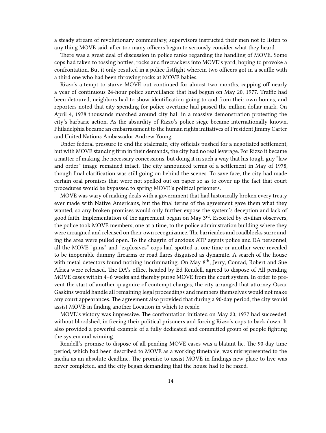a steady stream of revolutionary commentary, supervisors instructed their men not to listen to any thing MOVE said, after too many officers began to seriously consider what they heard.

There was a great deal of discussion in police ranks regarding the handling of MOVE. Some cops had taken to tossing bottles, rocks and firecrackers into MOVE's yard, hoping to provoke a confrontation. But it only resulted in a police fistfight wherein two officers got in a scuffle with a third one who had been throwing rocks at MOVE babies.

Rizzo's attempt to starve MOVE out continued for almost two months, capping off nearly a year of continuous 24-hour police surveillance that had begun on May 20, 1977. Traffic had been detoured, neighbors had to show identification going to and from their own homes, and reporters noted that city spending for police overtime had passed the million dollar mark. On April 4, 1978 thousands marched around city hall in a massive demonstration protesting the city's barbaric action. As the absurdity of Rizzo's police siege became internationally known. Philadelphia became an embarrassment to the human rights initiatives of President Jimmy Carter and United Nations Ambassador Andrew Young.

Under federal pressure to end the stalemate, city officials pushed for a negotiated settlement, but with MOVE standing firm in their demands, the city had no real leverage. For Rizzo it became a matter of making the necessary concessions, but doing it in such a way that his tough-guy "law and order" image remained intact. The city announced terms of a settlement in May of 1978, though final clarification was still going on behind the scenes. To save face, the city had made certain oral promises that were not spelled out on paper so as to cover up the fact that court procedures would be bypassed to spring MOVE's political prisoners.

MOVE was wary of making deals with a government that had historically broken every treaty ever made with Native Americans, but the final terms of the agreement gave them what they wanted, so any broken promises would only further expose the system's deception and lack of good faith. Implementation of the agreement began on May 3<sup>rd</sup>. Escorted by civilian observers, the police took MOVE members, one at a time, to the police administration building where they were arraigned and released on their own recognizance. The barricades and roadblocks surrounding the area were pulled open. To the chagrin of anxious ATP agents police and DA personnel, all the MOVE "guns" and "explosives" cops had spotted at one time or another were revealed to be inoperable dummy firearms or road flares disguised as dynamite. A search of the house with metal detectors found nothing incriminating. On May 8<sup>th</sup>, Jerry, Conrad, Robert and Sue Africa were released. The DA's office, headed by Ed Rendell, agreed to dispose of All pending MOVE cases within 4–6 weeks and thereby purge MOVE from the court system. In order to prevent the start of another quagmire of contempt charges, the city arranged that attorney Oscar Gaskins would handle all remaining legal proceedings and members themselves would not make any court appearances. The agreement also provided that during a 90-day period, the city would assist MOVE in finding another Location in which to reside.

MOVE's victory was impressive. The confrontation initiated on May 20, 1977 had succeeded, without bloodshed, in freeing their political prisoners and forcing Rizzo's cops to back down. It also provided a powerful example of a fully dedicated and committed group of people fighting the system and winning.

Rendell's promise to dispose of all pending MOVE cases was a blatant lie. The 90-day time period, which bad been described to MOVE as a working timetable, was misrepresented to the media as an absolute deadline. The promise to assist MOVE in findings new place to live was never completed, and the city began demanding that the house had to he razed.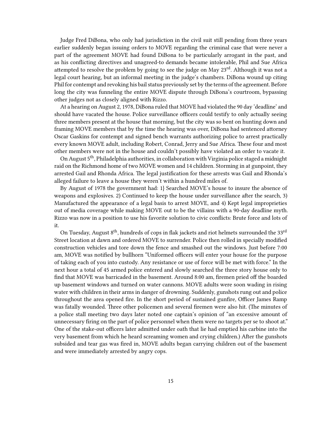Judge Fred DiBona, who only had jurisdiction in the civil suit still pending from three years earlier suddenly began issuing orders to MOVE regarding the criminal case that were never a part of the agreement MOVE had found DiBona to be particularly arrogant in the past, and as his conflicting directives and unagreed-to demands became intolerable, Phil and Sue Africa attempted to resolve the problem by going to see the judge on May  $23<sup>rd</sup>$ . Although it was not a legal court hearing, but an informal meeting in the judge's chambers. DiBona wound up citing Phil for contempt and revoking his bail status previously set by the terms of the agreement. Before long the city was funneling the entire MOVE dispute through DiBona's courtroom, bypassing other judges not as closely aligned with Rizzo.

At a hearing on August 2, 1978, DiBona ruled that MOVE had violated the 90 day 'deadline' and should have vacated the house. Police surveillance officers could testify to only actually seeing three members present at the house that morning, but the city was so bent on hunting down and framing MOVE members that by the time the hearing was over, DiBona had sentenced attorney Oscar Gaskins for contempt and signed bench warrants authorizing police to arrest practically every known MOVE adult, including Robert, Conrad, Jerry and Sue Africa. These four and most other members were not in the house and couldn't possibly have violated an order to vacate it.

On August 5th, Philadelphia authorities, in collaboration with Virginia police staged a midnight raid on the Richmond home of two MOVE women and 14 children. Storming in at gunpoint, they arrested Gail and Rhonda Africa. The legal justification for these arrests was Gail and Rhonda's alleged failure to leave a house they weren't within a hundred miles of.

By August of 1978 the government had: 1} Searched MOVE's house to insure the absence of weapons and explosives. 2) Continued to keep the house under surveillance after the search, 3) Manufactured the appearance of a legal basis to arrest MOVE, and 4) Kept legal improprieties out of media coverage while making MOVE out to be the villains with a 90-day deadline myth. Rizzo was now in a position to use his favorite solution to civic conflicts: Brute force and lots of it.

On Tuesday, August  $8<sup>th</sup>$ , hundreds of cops in flak jackets and riot helmets surrounded the 33<sup>rd</sup> Street location at dawn and ordered MOVE to surrender. Police then rolled in specially modified construction vehicles and tore down the fence and smashed out the windows. Just before 7:00 am, MOVE was notified by bullhorn "Uniformed officers will enter your house for the purpose of taking each of you into custody. Any resistance or use of force will be met with force." In the next hour a total of 45 armed police entered and slowly searched the three story house only to find that MOVE was barricaded in the basement. Around 8:00 am, firemen pried off the boarded up basement windows and turned on water cannons. MOVE adults were soon wading in rising water with children in their arms in danger of drowning. Suddenly, gunshots rung out and police throughout the area opened fire. In the short period of sustained gunfire, Officer James Ramp was fatally wounded. Three other policemen and several firemen were also hit. (The minutes of a police stall meeting two days later noted one captain's opinion of "an excessive amount of unnecessary firing on the part of police personnel when them were no targets per se to shoot at." One of the stake-out officers later admitted under oath that lie had emptied his carbine into the very basement from which he heard screaming women and crying children.) After the gunshots subsided and tear gas was fired in, MOVE adults began carrying children out of the basement and were immediately arrested by angry cops.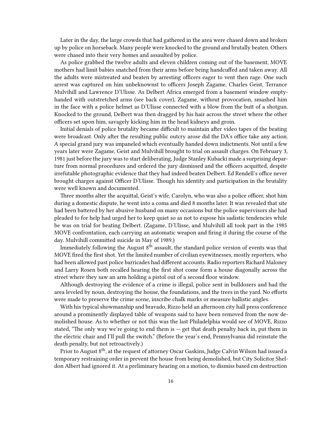Later in the day, the large crowds that had gathered in the area were chased down and broken up by police on horseback. Many people were knocked to the ground and brutally beaten. Others were chased into their very homes and assaulted by police.

As police grabbed the twelve adults and eleven children coming out of the basement, MOVE mothers had limit babies snatched from their arms before being handcuffed and taken away. All the adults were mistreated and beaten by arresting officers eager to vent then rage. One such arrest was captured on him unbeknownst to officers Joseph Zagame, Charles Geist, Terrance Mulvihill and Lawrence D'Ulisse. As Delbert Africa emerged from a basement window emptyhanded with outstretched arms (see back cover), Zagame, without provocation, smashed him in the face with a police helmet as D'Ulisse connected with a blow from the butt of a shotgun. Knocked to the ground, Delbert was then dragged by his hair across the street where the other officers set upon him, savagely kicking him in the head kidneys and groin.

Initial denials of police brutality became difficult to maintain after video tapes of the beating were broadcast. Only after the resulting public outcry arose did the DA's office take any action. A special grand jury was impaneled which eventually handed down indictments. Not until a few years later were Zagame, Geist and Mulvihill brought to trial on assault charges. On February 3, 1981 just before the jury was to start deliberating, Judge Stanley Kubacki made a surprising departure from normal procedures and ordered the jury dismissed and the officers acquitted, despite irrefutable photographic evidence that they had indeed beaten Delbert. Ed Rendell's office never brought charges against Officer D'Ulisse. Though his identity and participation in the brutality were well known and documented.

Three months alter the acquittal, Geist's wife, Carolyn, who was also a police officer, shot him during a domestic dispute, he went into a coma and died 8 months later. It was revealed that site had been battered by her abusive husband on many occasions but the police supervisors she had pleaded to for help had urged her to keep quiet so as not to expose his sadistic tendencies while be was on trial for beating Delbert. (Zagame, D'Ulisse, and Mulvihill all took part in the 1985 MOVE confrontation, each carrying an automatic weapon and firing it during the course of the day. Mulvihill committed suicide in May of 1989.)

Immediately following the August  $8<sup>th</sup>$  assault, the standard police version of events was that MOVE fired the first shot. Yet the limited number of civilian eyewitnesses, mostly reporters, who had been allowed past police barricades had different accounts. Radio reporters Richard Maloney and Larry Rosen both recalled hearing the first shot come form a house diagonally across the street where they saw an arm holding a pistol out of a second floor window.

Although destroying the evidence of a crime is illegal, police sent in bulldozers and had the area leveled by noun, destroying the house, the foundations, and the trees in the yard. No efforts were made to preserve the crime scene, inscribe chalk marks or measure ballistic angles.

With his typical showmanship and bravado, Rizzo held an afternoon city hall press conference around a prominently displayed table of weapons said to have been removed from the now demolished house. As to whether or not this was the last Philadelphia would see of MOVE, Rizzo stated, "The only way we're going to end them is  $-$  get that death penalty back in, put them in the electric chair and I'll pull the switch." (Before the year's end, Pennsylvania did reinstate the death penalty, but not retroactively.)

Prior to August 8<sup>th</sup>, at the request of attorney Oscar Gaskins, Judge Calvin Wilson had issued a temporary restraining order in prevent the house from being demolished, but City Solicitor Sheldon Albert had ignored it. At a preliminary hearing on a motion, to dismiss based cm destruction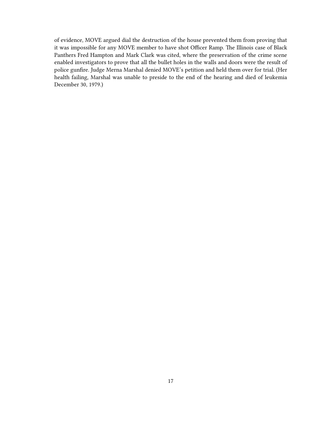of evidence, MOVE argued dial the destruction of the house prevented them from proving that it was impossible for any MOVE member to have shot Officer Ramp. The Illinois case of Black Panthers Fred Hampton and Mark Clark was cited, where the preservation of the crime scene enabled investigators to prove that all the bullet holes in the walls and doors were the result of police gunfire. Judge Merna Marshal denied MOVE's petition and held them over for trial. (Her health failing, Marshal was unable to preside to the end of the hearing and died of leukemia December 30, 1979.)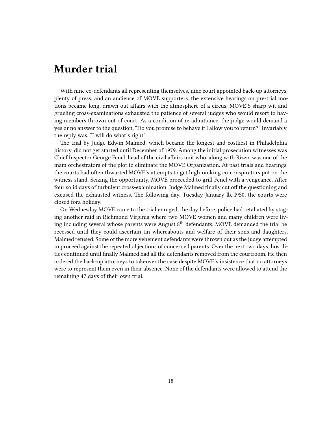### <span id="page-17-0"></span>**Murder trial**

With nine co-defendants all representing themselves, nine court appointed back-up attorneys, plenty of press, and an audience of MOVE supporters. the extensive hearings on pre-trial motions became long, drawn out affairs with the atmosphere of a circus. MOVE'S sharp wit and grueling cross-examinations exhausted the patience of several judges who would resort to having members thrown out of court. As a condition of re-admittance, the judge would demand a yes or no answer to the question, "Do you promise to behave if I allow you to return?" Invariably, the reply was, "I will do what's right".

The trial by Judge Edwin Malmed, which became the longest and costliest in Philadelphia history, did not get started until December of 1979. Among the initial prosecution witnesses was Chief Inspector George Fencl, head of the civil affairs unit who, along with Rizzo, was one of the mam orchestrators of the plot to eliminate the MOVE Organization. At past trials and hearings, the courts had often thwarted MOVE's attempts to get high ranking co-conspirators put on the witness stand. Seizing the opportunity, MOVE proceeded to grill Fencl with a vengeance. After four solid days of turbulent cross-examination. Judge Malmed finally cut off the questioning and excused the exhausted witness. The following day, Tuesday January lb, I9S0, the courts were closed fora holiday.

On Wednesday MOVE came to the trial enraged, the day before, police had retaliated by staging another raid in Richmond Virginia where two MOVE women and many children were living including several whose parents were August  $8<sup>th</sup>$  defendants. MOVE demanded the trial be recessed until they could ascertain tin whereabouts and welfare of their sons and daughters. Malmed refused. Some of the more vehement defendants were thrown out as the judge attempted to proceed against the repeated objections of concerned parents. Over the next two days, hostilities continued until finally Malmed had all the defendants removed from the courtroom. He then ordered the back-up attorneys to takeover the case despite MOVE's insistence that no attorneys were to represent them even in their absence. None of the defendants were allowed to attend the remaining 47 days of their own trial.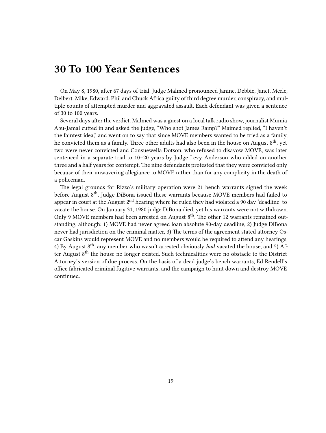### <span id="page-18-0"></span>**30 To 100 Year Sentences**

On May 8, 1980, after 67 days of trial. Judge Malmed pronounced Janine, Debbie, Janet, Merle, Delbert. Mike, Edward. Phil and Chuck Africa guilty of third degree murder, conspiracy, and multiple counts of attempted murder and aggravated assault. Each defendant was given a sentence of 30 to 100 years.

Several days after the verdict. Malmed was a guest on a local talk radio show, journalist Mumia Abu-Jamal cutted in and asked the judge, "Who shot James Ramp?" Maimed replied, "I haven't the faintest idea," and went on to say that since MOVE members wanted to be tried as a family, he convicted them as a family. Three other adults had also been in the house on August  $8<sup>th</sup>$ , yet two were never convicted and Consuewella Dotson, who refused to disavow MOVE, was later sentenced in a separate trial to 10–20 years by Judge Levy Anderson who added on another three and a half years for contempt. The nine defendants protested that they were convicted only because of their unwavering allegiance to MOVE rather than for any complicity in the death of a policeman.

The legal grounds for Rizzo's military operation were 21 bench warrants signed the week before August 8<sup>th</sup>. Judge DiBona issued these warrants because MOVE members had failed to appear in court at the August 2<sup>nd</sup> hearing where he ruled they had violated a 90 day 'deadline' to vacate the house. On January 31, 1980 judge DiBona died, yet his warrants were not withdrawn. Only 9 MOVE members had been arrested on August 8<sup>th</sup>. The other 12 warrants remained outstanding, although: 1) MOVE had never agreed loan absolute 90-day deadline, 2) Judge DiBona never had jurisdiction on the criminal matter, 3) The terms of the agreement stated attorney Oscar Gaskins would represent MOVE and no members would be required to attend any hearings, 4) By August 8th, any member who wasn't arrested obviously *had* vacated the house, and 5) After August 8<sup>th</sup> the house no longer existed. Such technicalities were no obstacle to the District Attorney's version of due process. On the basis of a dead judge's bench warrants, Ed Rendell's office fabricated criminal fugitive warrants, and the campaign to hunt down and destroy MOVE continued.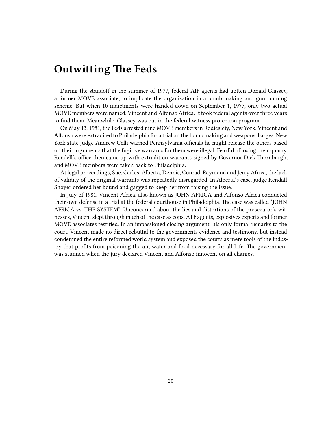## <span id="page-19-0"></span>**Outwitting The Feds**

During the standoff in the summer of 1977, federal AIF agents had gotten Donald Glassey, a former MOVE associate, to implicate the organisation in a bomb making and gun running scheme. But when 10 indictments were handed down on September 1, 1977, only two actual MOVE members were named: Vincent and Alfonso Africa. It took federal agents over three years to find them. Meanwhile, Glassey was put in the federal witness protection program.

On May 13, 1981, the Feds arrested nine MOVE members in Rodiesieiy, New York. Vincent and Alfonso were extradited to Philadelphia for a trial on the bomb making and weapons. barges. New York state judge Andrew Celli warned Pennsylvania officials he might release the others based on their arguments that the fugitive warrants for them were illegal. Fearful of losing their quarry, Rendell's office then came up with extradition warrants signed by Governor Dick Thornburgh, and MOVE members were taken back to Philadelphia.

At legal proceedings, Sue, Carlos, Alberta, Dennis, Conrad, Raymond and Jerry Africa, the lack of validity of the original warrants was repeatedly disregarded. In Alberta's case, judge Kendall Shoyer ordered her bound and gagged to keep her from raising the issue.

In July of 1981, Vincent Africa, also known as JOHN AFRICA and Alfonso Africa conducted their own defense in a trial at the federal courthouse in Philadelphia. The case was called "JOHN AFRICA vs. THE SYSTEM". Unconcerned about the lies and distortions of the prosecutor's witnesses, Vincent slept through much of the case as cops, ATF agents, explosives experts and former MOVE associates testified. In an impassioned closing argument, his only formal remarks to the court, Vincent made no direct rebuttal to the governments evidence and testimony, but instead condemned the entire reformed world system and exposed the courts as mere tools of the industry that profits from poisoning the air, water and food necessary for all Life. The government was stunned when the jury declared Vincent and Alfonso innocent on all charges.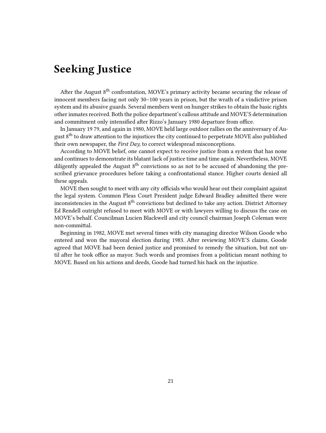# <span id="page-20-0"></span>**Seeking Justice**

After the August 8<sup>th</sup> confrontation, MOVE's primary activity became securing the release of innocent members facing not only 30–100 years in prison, but the wrath of a vindictive prison system and its abusive guards. Several members went on hunger strikes to obtain the basic rights other inmates received. Both the police department's callous attitude and MOVE'S determination and commitment only intensified after Rizzo's January 1980 departure from office.

In January 19 79, and again in 1980, MOVE held large outdoor rallies on the anniversary of August 8<sup>th</sup> to draw attention to the injustices the city continued to perpetrate MOVE also published their own newspaper, the *First Day,* to correct widespread misconceptions.

According to MOVE belief, one cannot expect to receive justice from a system that has none and continues to demonstrate its blatant lack of justice time and time again. Nevertheless, MOVE diligently appealed the August  $8<sup>th</sup>$  convictions so as not to be accused of abandoning the prescribed grievance procedures before taking a confrontational stance. Higher courts denied all these appeals.

MOVE then sought to meet with any city officials who would hear out their complaint against the legal system. Common Pleas Court President judge Edward Bradley admitted there were inconsistencies in the August  $8<sup>th</sup>$  convictions but declined to take any action. District Attorney Ed Rendell outright refused to meet with MOVE or with lawyers willing to discuss the case on MOVE's behalf. Councilman Lucien Blackwell and city council chairman Joseph Coleman were non-committal.

Beginning in 1982, MOVE met several times with city managing director Wilson Goode who entered and won the mayoral election during 1983. After reviewing MOVE'S claims, Goode agreed that MOVE had been denied justice and promised to remedy the situation, but not until after he took office as mayor. Such words and promises from a politician meant nothing to MOVE. Based on his actions and deeds, Goode had turned his hack on the injustice.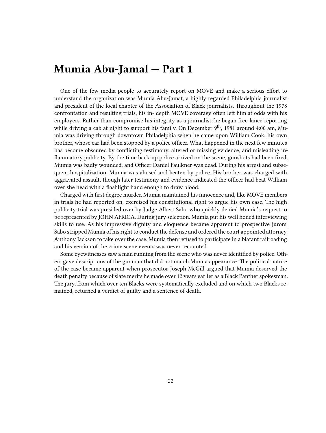### <span id="page-21-0"></span>**Mumia Abu-Jamal — Part 1**

One of the few media people to accurately report on MOVE and make a serious effort to understand the organization was Mumia Abu-Jamat, a highly regarded Philadelphia journalist and president of the local chapter of the Association of Black journalists. Throughout the 1978 confrontation and resulting trials, his in- depth MOVE coverage often left him at odds with his employers. Rather than compromise his integrity as a journalist, he began free-lance reporting while driving a cab at night to support his family. On December  $9^{th}$ , 1981 around 4:00 am, Mumia was driving through downtown Philadelphia when he came upon William Cook, his own brother, whose car had been stopped by a police officer. What happened in the next few minutes has become obscured by conflicting testimony, altered or missing evidence, and misleading inflammatory publicity. By the time back-up police arrived on the scene, gunshots had been fired, Mumia was badly wounded, and Officer Daniel Faulkner was dead. During his arrest and subsequent hospitalization, Mumia was abused and beaten by police, His brother was charged with aggravated assault, though later testimony and evidence indicated the officer had beat William over she head with a flashlight hand enough to draw blood.

Charged with first degree murder, Mumia maintained his innocence and, like MOVE members in trials he had reported on, exercised his constitutional right to argue his own case. The high publicity trial was presided over by Judge Albert Sabo who quickly denied Mumia's request to be represented by JOHN AFRICA. During jury selection. Mumia put his well honed interviewing skills to use. As his impressive dignity and eloquence became apparent to prospective jurors, Sabo stripped Mumia of his right to conduct the defense and ordered the court appointed attorney, Anthony Jackson to take over the case. Mumia then refused to participate in a blatant railroading and his version of the crime scene events was never recounted.

Some eyewitnesses saw a man running from the scene who was never identified by police. Others gave descriptions of the gunman that did not match Mumia appearance. The political nature of the case became apparent when prosecutor Joseph McGill argued that Mumia deserved the death penalty because of slate merits he made over 12 years earlier as a Black Panther spokesman. The jury, from which over ten Blacks were systematically excluded and on which two Blacks remained, returned a verdict of guilty and a sentence of death.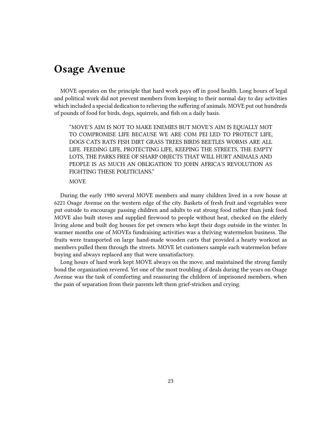# <span id="page-22-0"></span>**Osage Avenue**

MOVE operates on the principle that hard work pays off in good health. Long hours of legal and political work did not prevent members from keeping to their normal day to day activities which included a special dedication to relieving the suffering of animals. MOVE put out hundreds of pounds of food for birds, dogs, squirrels, and fish on a daily basis.

"MOVE'S AIM IS NOT TO MAKE ENEMIES BUT MOVE'S AIM IS EQUALLY MOT TO COMPROMISE LIFE BECAUSE WE ARE COM PEI LED TO PROTECT LIFE, DOGS CATS RATS FISH DIRT GRASS TREES BIRDS BEETLES WORMS ARE ALL LIFE. FEEDING LIFE, PROTECTING LIFE, KEEPING THE STREETS, THE EMPTY LOTS, THE PARKS FREE OF SHARP OBJECTS THAT WILL HURT ANIMALS AND PEOPLE IS AS MUCH AN OBLIGATION TO JOHN AFRICA'S REVOLUTION AS FIGHTING THESE POLITICIANS."

#### MOVE

During the early 1980 several MOVE members and many children lived in a row house at 6221 Osage Avenue on the western edge of the city. Baskets of fresh fruit and vegetables were put outside to encourage passing children and adults to eat strong food rather than junk food. MOVE also built stoves and supplied firewood to people without heat, checked on the elderly living alone and built dog houses for pet owners who kept their dogs outside in the winter. In warmer months one of MOVEs fundraising activities was a thriving watermelon business. The fruits were transported on large hand-made wooden carts that provided a hearty workout as members pulled them through the streets. MOVE let customers sample each watermelon before buying and always replaced any that were unsatisfactory.

Long hours of hard work kept MOVE always on the move, and maintained the strong family bond the organization revered. Yet one of the most troubling of deals during the years on Osage Avenue was the task of comforting and reassuring the children of imprisoned members, when the pain of separation from their parents left them grief-stricken and crying.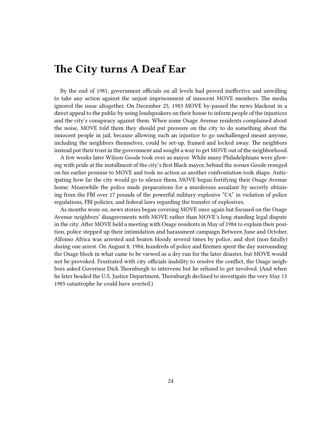### <span id="page-23-0"></span>**The City turns A Deaf Ear**

By the end of 1981, government officials on all levels had proved ineffective and unwilling to take any action against the unjust imprisonment of innocent MOVE members. The media ignored the issue altogether. On December 25, 1983 MOVE by-passed the news blackout in a direct appeal to the public by using loudspeakers on their house to inform people of the injustices and the city's conspiracy against them. When some Osage Avenue residents complained about the noise, MOVE told them they should put pressure on the city to do something about the innocent people in jail, because allowing such an injustice to go unchallenged meant anyone, including the neighbors themselves, could be set-up, framed and locked away. The neighbors instead put their trust in the government and sought a way to get MOVE out of the neighborhood.

A few weeks later Wilson Goode took over as mayor. While many Philadelphians were glowing with pride at the installment of the city's first Black mayor, behind the scenes Goode reneged on his earlier promise to MOVE and took no action as another confrontation took shape. Anticipating how far the city would go to silence them, MOVE began fortifying their Osage Avenue home. Meanwhile the police made preparations for a murderous assailant by secretly obtaining from the FBI over 17 pounds of the powerful military explosive "C4," in violation of police regulations, FBI policies, and federal laws regarding the transfer of explosives.

As months wore on, news stories began covering MOVE once again but focused on the Osage Avenue neighbors' disagreements with MOVE rather than MOVE's long standing legal dispute in the city. After MOVE held a meeting with Osage residents in May of 1984 to explain their position, police stepped up their intimidation and harassment campaign Between June and October, Alfonso Africa was arrested and beaten bloody several times by police, and shot (non fatally) during one arrest. On August 8, 1984, hundreds of police and firemen spent the day surrounding the Osage block in what came to be viewed as a dry run for the later disaster, but MOVE would not be provoked. Frustrated with city officials inability to resolve the conflict, the Osage neighbors asked Governor Dick Thornburgh to intervene but he refused to get involved. (And when he later headed the U.S. Justice Department, Thornburgh declined to investigate the very May 13 1985 catastrophe he could have averted.)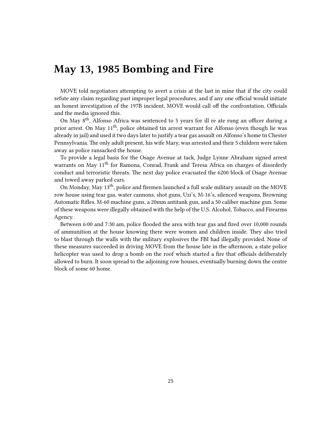### <span id="page-24-0"></span>**May 13, 1985 Bombing and Fire**

MOVE told negotiators attempting to avert a crisis at the last in mine that if the city could refute any claim regarding past improper legal procedures, and if any one official would initiate an honest investigation of the 197B incident, MOVE would call off the confrontation. Officials and the media ignored this.

On May 8th, Alfonso Africa was sentenced to 5 years for ill re ate rung an officer during a prior arrest. On May 11th, police obtained tin arrest warrant for Alfonso (even though lie was already in jail) and used it two days later to justify a tear gas assault on Alfonso's home tn Chester Pennsylvania. The only adult present, his wife Mary, was arrested and their 5 children were taken away as police ransacked the house.

To provide a legal basis for the Osage Avenue at tack, Judge Lynne Abraham signed arrest warrants on May 11<sup>th</sup> for Ramona, Conrad, Frank and Teresa Africa on charges of disorderly conduct and terroristic threats. The next day police evacuated the 6200 block of Osage Avenue and towed away parked cars.

On Monday, May 13th, police and firemen launched a full scale military assault on the MOVE row house using tear gas, water cannons, shot guns, Uzi's, M-16's, silenced weapons, Browning Automatic Rifles. M-60 machine guns, a 20mm antitank gun, and a 50 caliber machine gun. Some of these weapons were illegally obtained with the help of the U.S. Alcohol, Tobacco, and Firearms Agency.

Between 6:00 and 7:30 am, police flooded the area with tear gas and fired over 10,000 rounds of ammunition at the house knowing there were women and children inside. They also tried to blast through the walls with the military explosives the FBI had illegally provided. None of these measures succeeded in driving MOVE from the house late in the afternoon, a state police helicopter was used to drop a bomb on the roof which started a fire that officials deliberately allowed to burn. It soon spread to the adjoining row houses, eventually burning down the centre block of some 60 home.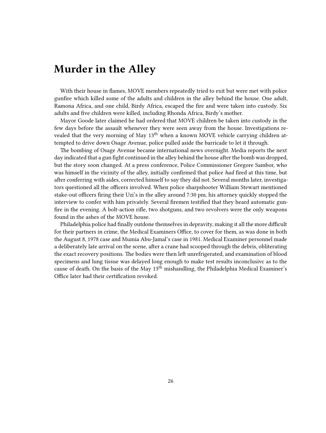### <span id="page-25-0"></span>**Murder in the Alley**

With their house in flames, MOVE members repeatedly tried to exit but were met with police gunfire which killed some of the adults and children in the alley behind the house. One adult, Ramona Africa, and one child, Birdy Africa, escaped the fire and were taken into custody. Six adults and five children were killed, including Rhonda Africa, Birdy's mother.

Mayor Goode later claimed he had ordered that MOVE children be taken into custody in the few days before the assault whenever they were seen away from the house. Investigations revealed that the very morning of May  $13<sup>th</sup>$  when a known MOVE vehicle carrying children attempted to drive down Osage Avenue, police pulled aside the barricade to let it through.

The bombing of Osage Avenue became international news overnight. Media reports the next day indicated that a gun fight continued in the alley behind the house after the bomb was dropped, but the story soon changed. At a press conference, Police Commissioner Gregore Sambor, who was himself in the vicinity of the alley, initially confirmed that police *had* fired at this time, but after conferring with aides, corrected himself to say they did not. Several months later, investigators questioned all the officers involved. When police sharpshooter William Stewart mentioned stake-out officers firing their Uzi's in the alley around 7:30 pm, his attorney quickly stopped the interview to confer with him privately. Several firemen testified that they heard automatic gunfire in the evening. A bolt-action rifle, two shotguns, and two revolvers were the only weapons found in the ashes of the MOVE house.

Philadelphia police had finally outdone themselves in depravity, making it all the more difficult for their partners in crime, the Medical Examiners Office, to cover for them, as was done in both the August 8, 1978 case and Mumia Abu-Jamal's case in 1981. Medical Examiner personnel made a deliberately late arrival on the scene, after a crane had scooped through the debris, obliterating the exact recovery positions. The bodies were then left unrefrigerated, and examination of blood specimens and lung tissue was delayed long enough to make test results inconclusivc as to the cause of death. On the basis of the May 13<sup>th</sup> mishandling, the Philadelphia Medical Examiner's Office later had their certification revoked.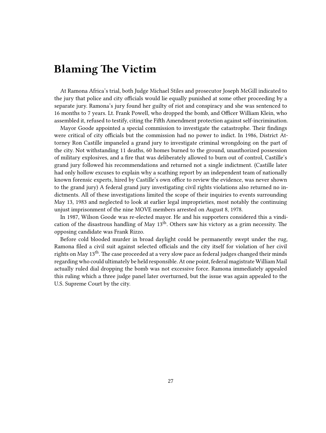### <span id="page-26-0"></span>**Blaming The Victim**

At Ramona Africa's trial, both Judge Michael Stiles and prosecutor Joseph McGill indicated to the jury that police and city officials would lie equally punished at some other proceeding by a separate jury. Ramona's jury found her guilty of riot and conspiracy and she was sentenced to 16 months to 7 years. Lt. Frank Powell, who dropped the bomb, and Officer William Klein, who assembled it, refused to testify, citing the Fifth Amendment protection against self-incrimination.

Mayor Goode appointed a special commission to investigate the catastrophe. Their findings were critical of city officials but the commission had no power to indict. In 1986, District Attorney Ron Castille impaneled a grand jury to investigate criminal wrongdoing on the part of the city. Not withstanding 11 deaths, 60 homes burned to the ground, unauthorized possession of military explosives, and a fire that was deliberately allowed to burn out of control, Castille's grand jury followed his recommendations and returned not a single indictment. (Castille later had only hollow excuses to explain why a scathing report by an independent team of nationally known forensic experts, hired by Castille's own office to review the evidence, was never shown to the grand jury) A federal grand jury investigating civil rights violations also returned no indictments. All of these investigations limited the scope of their inquiries to events surrounding May 13, 1983 and neglected to look at earlier legal improprieties, most notably the continuing unjust imprisonment of the nine MOVE members arrested on August 8, 1978.

In 1987, Wilson Goode was re-elected mayor. He and his supporters considered this a vindication of the disastrous handling of May  $13<sup>th</sup>$ . Others saw his victory as a grim necessity. The opposing candidate was Frank Rizzo.

Before cold blooded murder in broad daylight could be permanently swept under the rug, Ramona filed a civil suit against selected officials and the city itself for violation of her civil rights on May 13<sup>th</sup>. The case proceeded at a very slow pace as federal judges changed their minds regarding who could ultimately be held responsible. At one point, federal magistrate William Mail actually ruled dial dropping the bomb was not excessive force. Ramona immediately appealed this ruling which a three judge panel later overturned, but the issue was again appealed to the U.S. Supreme Court by the city.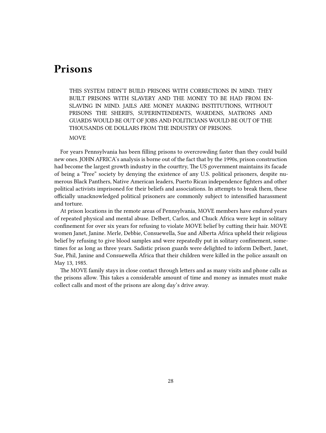## <span id="page-27-0"></span>**Prisons**

THIS SYSTEM DIDN'T BUILD PRISONS WITH CORRECTIONS IN MIND. THEY BUILT PRISONS WITH SLAVERY AND THE MONEY TO BE HAD FROM EN-SLAVING IN MIND. JAILS ARE MONEY MAKING INSTITUTIONS, WITHOUT PRISONS THE SHERIFS, SUPERINTENDENTS, WARDENS, MATRONS AND GUARDS WOULD BE OUT OF JOBS AND POLITICIANS WOULD BE OUT OF THE THOUSANDS OE DOLLARS FROM THE INDUSTRY OF PRISONS.

#### MOVE

For years Pennsylvania has been filling prisons to overcrowding faster than they could build new ones. JOHN AFRICA's analysis is borne out of the fact that by the 1990s, prison construction had become the largest growth industry in the courttry, The US government maintains its facade of being a "Free" society by denying the existence of any U.S. political prisoners, despite numerous Black Panthers, Native American leaders, Puerto Rican independence fighters and other political activists imprisoned for their beliefs and associations. In attempts to break them, these officially unacknowledged political prisoners are commonly subject to intensified harassment and torture.

At prison locations in the remote areas of Pennsylvania, MOVE members have endured years of repeated physical and mental abuse. Delbert, Carlos, and Chuck Africa were kept in solitary confinement for over six years for refusing to violate MOVE belief by cutting their hair. MOVE women Janet, Janine. Merle, Debbie, Consuewella, Sue and Alberta Africa upheld their religious belief by refusing to give blood samples and were repeatedly put in solitary confinement, sometimes for as long as three years. Sadistic prison guards were delighted to inform Delbert, Janet, Sue, Phil, Janine and Consuewella Africa that their children were killed in the police assault on May 13, 1985.

The MOVE family stays in close contact through letters and as many visits and phone calls as the prisons allow. This takes a considerable amount of time and money as inmates must make collect calls and most of the prisons are along day's drive away.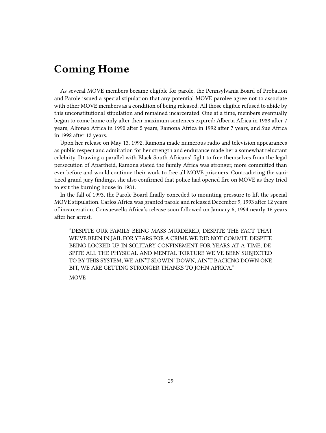# <span id="page-28-0"></span>**Coming Home**

As several MOVE members became eligible for parole, the Pennsylvania Board of Probation and Parole issued a special stipulation that any potential MOVE parolee agree not to associate with other MOVE members as a condition of being released. All those eligible refused to abide by this unconstitutional stipulation and remained incarcerated. One at a time, members eventually began to come home only after their maximum sentences expired: Alberta Africa in 1988 after 7 years, Alfonso Africa in 1990 after 5 years, Ramona Africa in 1992 after 7 years, and Sue Africa in 1992 after 12 years.

Upon her release on May 13, 1992, Ramona made numerous radio and television appearances as public respect and admiration for her strength and endurance made her a somewhat reluctant celebrity. Drawing a parallel with Black South Africans' fight to free themselves from the legal persecution of Apartheid, Ramona stated the family Africa was stronger, more committed than ever before and would continue their work to free all MOVE prisoners. Contradicting the sanitized grand jury findings, she also confirmed that police had opened fire on MOVE as they tried to exit the burning house in 1981.

In the fall of 1993, the Parole Board finally conceded to mounting pressure to lift the special MOVE stipulation. Carlos Africa was granted parole and released December 9, 1993 after 12 years of incarceration. Consuewella Africa's release soon followed on January 6, 1994 nearly 16 years after her arrest.

"DESPITE OUR FAMILY BEING MASS MURDERED, DESPITE THE FACT THAT WE'VE BEEN IN JAIL FOR YEARS FOR A CRIME WE DID NOT COMMIT. DESPITE BEING LOCKED UP IN SOLITARY CONFINEMENT FOR YEARS AT A TIME, DE-SPITE ALL THE PHYSICAL AND MENTAL TORTURE WE'VE BEEN SUBJECTED TO BY THIS SYSTEM, WE AIN'T SLOWIN' DOWN, AIN'T BACKING DOWN ONE BIT, WE ARE GETTING STRONGER THANKS TO JOHN AFRICA."

MOVE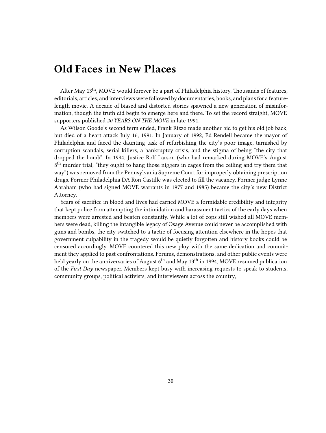### <span id="page-29-0"></span>**Old Faces in New Places**

After May 13<sup>th</sup>, MOVE would forever be a part of Philadelphia history. Thousands of features, editorials, articles, and interviews were followed by documentaries, books, and plans for a featurelength movie. A decade of biased and distorted stories spawned a new generation of misinformation, though the truth did begin to emerge here and there. To set the record straight, MOVE supporters published *20 YEARS ON THE MOVE* in late 1991.

As Wilson Goode's second term ended, Frank Rizzo made another bid to get his old job back, but died of a heart attack July 16, 1991. In January of 1992, Ed Rendell became the mayor of Philadelphia and faced the daunting task of refurbishing the city's poor image, tarnished by corruption scandals, serial killers, a bankruptcy crisis, and the stigma of being "the city that dropped the bomb". In 1994, Justice Rolf Larson (who had remarked during MOVE's August 8<sup>th</sup> murder trial, "they ought to hang those niggers in cages from the ceiling and try them that way") was removed from the Pennsylvania Supreme Court for improperly obtaining prescription drugs. Former Philadelphia DA Ron Castille was elected to fill the vacancy. Former judge Lynne Abraham (who had signed MOVE warrants in 1977 and 1985) became the city's new District Attorney.

Years of sacrifice in blood and lives had earned MOVE a formidable credibility and integrity that kept police from attempting the intimidation and harassment tactics of the early days when members were arrested and beaten constantly. While a lot of cops still wished all MOVE members were dead, killing the intangible legacy of Osage Avenue could never be accomplished with guns and bombs, the city switched to a tactic of focusing attention elsewhere in the hopes that government culpability in the tragedy would be quietly forgotten and history books could be censored accordingly. MOVE countered this new ploy with the same dedication and commitment they applied to past confrontations. Forums, demonstrations, and other public events were held yearly on the anniversaries of August  $6<sup>th</sup>$  and May 13<sup>th</sup> in 1994, MOVE resumed publication of the *First Day* newspaper. Members kept busy with increasing requests to speak to students, community groups, political activists, and interviewers across the country,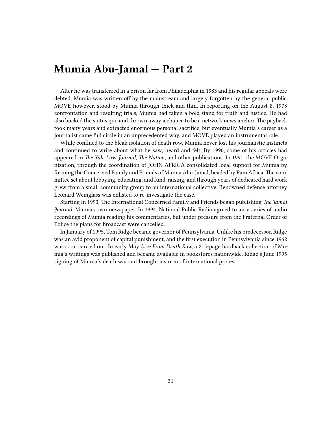### <span id="page-30-0"></span>**Mumia Abu-Jamal — Part 2**

After he was transferred in a prison far from Philadelphia in 1983 and his regular appeals were debted, Mumia was written off by the mainstream and largely forgotten by the general public. MOVE however, stood by Mumia through thick and thin. In reporting on the August 8, 1978 confrontation and resulting trials, Mumia had taken a bold stand for truth and justice. He had also bucked the status quo and thrown away a chance to be a network news anchor. The payback took many years and extracted enormous personal sacrifice, but eventually Mumia's career as a journalist came full circle in an unprecedented way, and MOVE played an instrumental role.

While confined to the bleak isolation of death row, Mumia never lost his journalistic instincts and continued to write about what he saw, heard and felt. By 1990, some of his articles had appeared in *The Yale Law Journal, The Nation,* and other publications. In 1991, the MOVE Organization, through the coordination of JOHN AFRICA consolidated local support for Mumia by forming the Concerned Family and Friends of Mumia Abu-Jamal, headed by Pam Africa. The committee set about lobbying, educating. and fund-raising, and through years of dedicated hard work grew from a small community group to an international collective. Renowned defense attorney Leonard Wcmglass was enlisted to re-investigate the case.

Starting in 1993, The International Concerned Family and Friends began publishing *The Jamal Journal,* Mumias own newspaper. In 1994, National Public Radio agreed to air a series of audio recordings of Mumia reading his commentaries, but under pressure from the Fraternal Order of Police the plans for broadcast were cancelled.

In January of 1995, Tom Ridge became governor of Pennsylvania. Unlike his predecessor, Ridge was an avid proponent of capital punishment, and the first execution in Pennsylvania since 1962 was soon carried out. In early May *Live From Death Row,* a 215-page hardback collection of Mumia's writings was published and became available in bookstores nationwide. Ridge's June 1995 signing of Mumia's death warrant brought a storm of international protest.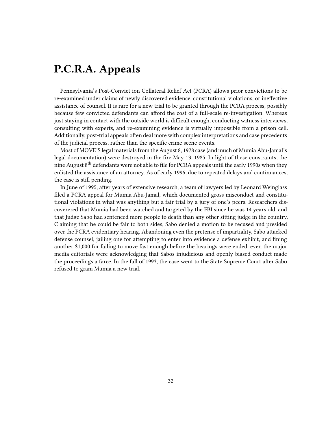# <span id="page-31-0"></span>**P.C.R.A. Appeals**

Pennsylvania's Post-Convict ion Collateral Relief Act (PCRA) allows prior convictions to be re-examined under claims of newly discovered evidence, constitutional violations, or ineffective assistance of counsel. It is rare for a new trial to be granted through the PCRA process, possibly because few convicted defendants can afford the cost of a full-scale re-investigation. Whereas just staying in contact with the outside world is difficult enough, conducting witness interviews, consulting with experts, and re-examining evidence is virtually impossible from a prison cell. Additionally, post-trial appeals often deal more with complex interpretations and case precedents of the judicial process, rather than the specific crime scene events.

Most of MOVE'S legal materials from the August 8, 1978 case (and much of Mumia Abu-Jamal's legal documentation) were destroyed in the fire May 13, 1985. In light of these constraints, the nine August 8<sup>th</sup> defendants were not able to file for PCRA appeals until the early 1990s when they enlisted the assistance of an attorney. As of early 1996, due to repeated delays and continuances, the case is still pending.

In June of 1995, after years of extensive research, a team of lawyers led by Leonard Weinglass filed a PCRA appeal for Mumia Abu-Jamal, which documented gross misconduct and constitutional violations in what was anything but a fair trial by a jury of one's peers. Researchers discoverered that Mumia had been watched and targeted by the FBI since he was 14 years old, and that Judge Sabo had sentenced more people to death than any other sitting judge in the country. Claiming that he could be fair to both sides, Sabo denied a motion to be recused and presided over the PCRA evidentiary hearing. Abandoning even the pretense of impartiality, Sabo attacked defense counsel, jailing one for attempting to enter into evidence a defense exhibit, and fining another \$1,000 for failing to move fast enough before the hearings were ended, even the major media editorials were acknowledging that Sabos injudicious and openly biased conduct made the proceedings a farce. In the fall of 1993, the case went to the State Supreme Court after Sabo refused to gram Mumia a new trial.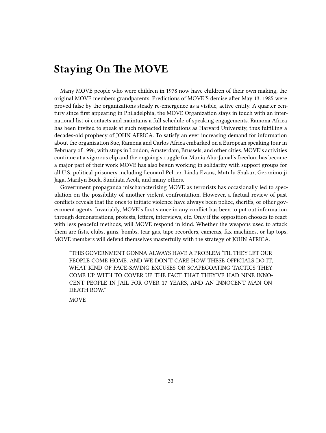# <span id="page-32-0"></span>**Staying On The MOVE**

Many MOVE people who were children in 1978 now have children of their own making, the original MOVE members grandparents. Predictions of MOVE'S demise after May 13. 1985 were proved false by the organizations steady re-emergence as a visible, active entity. A quarter century since first appearing in Philadelphia, the MOVE Organization stays in touch with an international list oi contacts and maintains a full schedule of speaking engagements. Ramona Africa has been invited to speak at such respected institutions as Harvard University, thus fulfilling a decades-old prophecy of JOHN AFRICA. To satisfy an ever increasing demand for information about the organization Sue, Ramona and Carlos Africa embarked on a European speaking tour in February of 1996, with stops in London, Amsterdam, Brussels, and other cities. MOVE's activities continue at a vigorous clip and the ongoing struggle for Munia Abu-Jamal's freedom has become a major part of their work MOVE has also begun working in solidarity with support groups for all U.S. political prisoners including Leonard Peltier, Linda Evans, Mutulu Shakur, Geronimo ji Jaga, Marilyn Buck, Sundiata Acoli, and many others.

Government propaganda mischaracterizing MOVE as terrorists has occasionally led to speculation on the possibility of another violent confrontation. However, a factual review of past conflicts reveals that the ones to initiate violence have always been police, sheriffs, or other government agents. Invariably, MOVE's first stance in any conflict has been to put out information through demonstrations, protests, letters, interviews, etc. Only if the opposition chooses to react with less peaceful methods, will MOVE respond in kind. Whether the weapons used to attack them are fists, clubs, guns, bombs, tear gas, tape recorders, cameras, fax machines, or lap tops, MOVE members will defend themselves masterfully with the strategy of JOHN AFRICA.

"THIS GOVERNMENT GONNA ALWAYS HAVE A PROBLEM 'TIL THEY LET OUR PEOPLE COME HOME. AND WE DON'T CARE HOW THESE OFFICIALS DO IT, WHAT KIND OF FACE-SAVING EXCUSES OR SCAPEGOATING TACTICS THEY COME UP WITH TO COVER UP THE FACT THAT THEY'VE HAD NINE INNO-CENT PEOPLE IN JAIL FOR OVER 17 YEARS, AND AN INNOCENT MAN ON DEATH ROW."

MOVE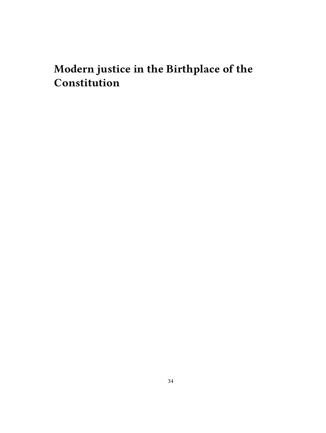# <span id="page-33-0"></span>**Modern justice in the Birthplace of the Constitution**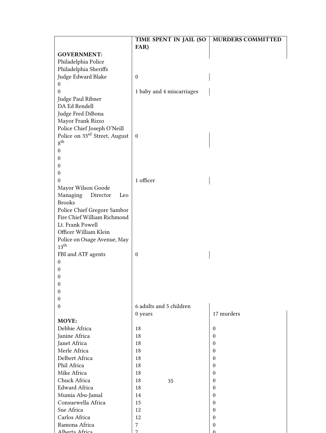|                                                 | TIME SPENT IN JAIL (SO<br>FAR)    | <b>MURDERS COMMITTED</b> |  |
|-------------------------------------------------|-----------------------------------|--------------------------|--|
| <b>GOVERNMENT:</b>                              |                                   |                          |  |
| Philadelphia Police                             |                                   |                          |  |
| Philadelphia Sheriffs                           |                                   |                          |  |
| Judge Edward Blake                              | $\boldsymbol{0}$                  |                          |  |
| $\boldsymbol{0}$                                |                                   |                          |  |
| 0                                               | 1 baby and 4 miscarriages         |                          |  |
| Judge Paul Ribner                               |                                   |                          |  |
| DA Ed Rendell                                   |                                   |                          |  |
| Judge Fred DiBona                               |                                   |                          |  |
| Mayor Frank Rizzo                               |                                   |                          |  |
| Police Chief Joseph O'Neill                     |                                   |                          |  |
| Police on 33rd Street, August                   | $\boldsymbol{0}$                  |                          |  |
| 8 <sup>th</sup>                                 |                                   |                          |  |
| $\boldsymbol{0}$                                |                                   |                          |  |
| 0                                               |                                   |                          |  |
| 0                                               |                                   |                          |  |
| $\boldsymbol{0}$                                |                                   |                          |  |
| 0                                               | 1 officer                         |                          |  |
| Mayor Wilson Goode                              |                                   |                          |  |
| Managing<br>Director<br>Leo                     |                                   |                          |  |
| <b>Brooks</b>                                   |                                   |                          |  |
| Police Chief Gregore Sambor                     |                                   |                          |  |
| Fire Chief William Richmond                     |                                   |                          |  |
| Lt. Frank Powell                                |                                   |                          |  |
| Officer William Klein                           |                                   |                          |  |
| Police on Osage Avenue, May<br>13 <sup>th</sup> |                                   |                          |  |
| FBI and ATF agents                              | $\boldsymbol{0}$                  |                          |  |
| $\boldsymbol{0}$                                |                                   |                          |  |
| 0                                               |                                   |                          |  |
| 0                                               |                                   |                          |  |
| $\mathbf{0}$                                    |                                   |                          |  |
| $\mathbf{0}$                                    |                                   |                          |  |
| $\theta$                                        |                                   |                          |  |
| $\theta$                                        | 6 adults and 5 children           |                          |  |
|                                                 | 0 years                           | 17 murders               |  |
| <b>MOVE:</b>                                    |                                   |                          |  |
| Debbie Africa                                   | 18                                | $\mathbf{0}$             |  |
| Janine Africa                                   | 18                                | $\mathbf{0}$             |  |
| Janet Africa                                    | 18                                | $\mathbf{0}$             |  |
| Merle Africa                                    | 18                                | $\mathbf{0}$             |  |
| Delbert Africa                                  | 18                                | $\boldsymbol{0}$         |  |
| Phil Africa                                     | 18                                | $\mathbf{0}$             |  |
| Mike Africa                                     | 18                                | $\mathbf{0}$             |  |
| Chuck Africa                                    | 18<br>35                          | $\mathbf{0}$             |  |
| <b>Edward Africa</b>                            | 18                                | 0                        |  |
| Mumia Abu-Jamal                                 | 14                                | $\mathbf{0}$             |  |
| Consuewella Africa                              | 15                                | $\mathbf{0}$             |  |
| Sue Africa                                      | 12                                | $\mathbf{0}$             |  |
| Carlos Africa                                   | 12                                | $\theta$                 |  |
| Ramona Africa<br>Alberta Africa                 | $7\overline{ }$<br>$\overline{7}$ | $\overline{0}$           |  |
|                                                 |                                   |                          |  |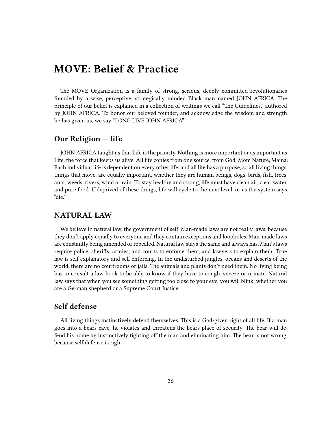### <span id="page-35-0"></span>**MOVE: Belief & Practice**

The MOVE Organization is a family of strong, serious, deeply committed revolutionaries founded by a wise, perceptive, strategically minded Black man named JOHN AFRICA. The principle of our belief is explained in a collection of writings we call "The Guidelines," authored by JOHN AFRICA. To honor our beloved founder, and acknowledge the wisdom and strength he has given us, we say "LONG LIVE JOHN AFRICA"

#### <span id="page-35-1"></span>**Our Religion — life**

JOHN AFRICA taught us that Life is the priority. Nothing is more important or as important as Life, the force that keeps us alive. All life conies from one source, from God, Mom Nature, Mama. Each individual life is dependent on every other life, and all life has a purpose, so all living things, things that move, are equally important, whether they are human beings, dogs, birds, fish, trees, ants, weeds, rivers, wind or rain. To stay healthy and strong, life must have clean air, clear water, and pure food. If deprived of these things, life will cycle to the next level, or as the system says "die."

#### <span id="page-35-2"></span>**NATURAL LAW**

We believe in natural law, the government of self. Man-made laws are not really laws, because they don't apply equally to everyone and they contain exceptions and loopholes. Man-made laws are constantly being amended or repealed. Natural law stays the same and always has. Man's laws require police, sheriffs, armies, and courts to enforce them, and lawyers to explain them. True law is self explanatory and self enforcing. In the undisturbed jungles, oceans and deserts of the world, there are no courtrooms or jails. The animals and plants don't need them. No living being has to consult a law book to be able to know if they have to cough, sneeze or urinate. Natural law says that when you see something getting too close to your eye, you will blink, whether you are a German shepherd or a Supreme Court Justice.

### <span id="page-35-3"></span>**Self defense**

All living things instinctively defend themselves. This is a God-given right of all life. If a man goes into a bears cave, he violates and threatens the bears place of security. The bear will defend his home by instinctively fighting off the man and eliminating him. The bear is not wrong, because self defense is right.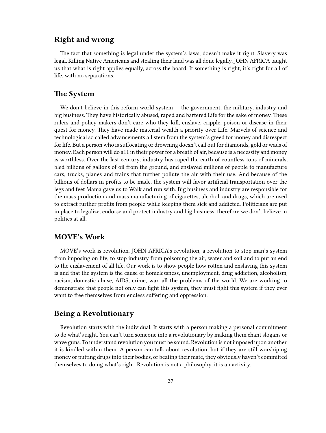### <span id="page-36-0"></span>**Right and wrong**

The fact that something is legal under the system's laws, doesn't make it right. Slavery was legal. Killing Native Americans and stealing their land was all done legally. JOHN AFRICA taught us that what is right applies equally, across the board. If something is right, it's right for all of life, with no separations.

#### <span id="page-36-1"></span>**The System**

We don't believe in this reform world system  $-$  the government, the military, industry and big business. They have historically abused, raped and bartered Life for the sake of money. These rulers and policy-makers don't care who they kill, enslave, cripple, poison or disease in their quest for money. They have made material wealth a priority over Life. Marvels of science and technological so called advancements all stem from the system's greed for money and disrespect for life. But a person who is suffocating or drowning doesn't call out for diamonds, gold or wads of money. Each person will do a11 in their power for a breath of air, because is a necessity and money is worthless. Over the last century, industry has raped the earth of countless tons of minerals, bled billions of gallons of oil from the ground, and enslaved millions of people to manufacture cars, trucks, planes and trains that further pollute the air with their use. And because of the billions of dollars in profits to be made, the system will favor artificial transportation over the legs and feet Mama gave us to Walk and run with. Big business and industry are responsible for the mass production and mass manufacturing of cigarettes, alcohol, and drugs, which are used to extract further profits from people while keeping them sick and addicted. Politicians are put in place to legalize, endorse and protect industry and big business, therefore we don't believe in politics at all.

#### <span id="page-36-2"></span>**MOVE's Work**

MOVE's work is revolution. JOHN AFRICA's revolution, a revolution to stop man's system from imposing on life, to stop industry from poisoning the air, water and soil and to put an end to the enslavement of all life. Our work is to show people how rotten and enslaving this system is and that the system is the cause of homelessness, unemployment, drug addiction, alcoholism, racism, domestic abuse, AIDS, crime, war, all the problems of the world. We are working to demonstrate that people not only can fight this system, they must fight this system if they ever want to free themselves from endless suffering and oppression.

#### <span id="page-36-3"></span>**Being a Revolutionary**

Revolution starts with the individual. It starts with a person making a personal commitment to do what's right. You can't turn someone into a revolutionary by making them chant slogans or wave guns. To understand revolution you must be sound. Revolution is not imposed upon another, it is kindled within them. A person can talk about revolution, but if they are still worshiping money or putting drugs into their bodies, or beating their mate, they obviously haven't committed themselves to doing what's right. Revolution is not a philosophy, it is an activity.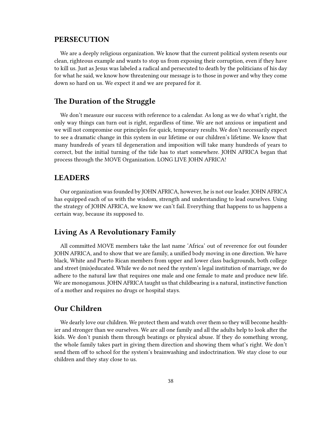#### <span id="page-37-0"></span>**PERSECUTION**

We are a deeply religious organization. We know that the current political system resents our clean, righteous example and wants to stop us from exposing their corruption, even if they have to kill us. Just as Jesus was labeled a radical and persecuted to death by the politicians of his day for what he said, we know how threatening our message is to those in power and why they come down so hard on us. We expect it and we are prepared for it.

### <span id="page-37-1"></span>**The Duration of the Struggle**

We don't measure our success with reference to a calendar. As long as we do what's right, the only way things can turn out is right, regardless of time. We are not anxious or impatient and we will not compromise our principles for quick, temporary results. We don't necessarily expect to see a dramatic change in this system in our lifetime or our children's lifetime. We know that many hundreds of years til degeneration and imposition will take many hundreds of years to correct, but the initial turning of the tide has to start somewhere. JOHN AFRICA began that process through the MOVE Organization. LONG LIVE JOHN AFRICA!

#### <span id="page-37-2"></span>**LEADERS**

Our organization was founded by JOHN AFRICA, however, he is not our leader. JOHN AFRICA has equipped each of us with the wisdom, strength and understanding to lead ourselves. Using the strategy of JOHN AFRICA, we know we can't fail. Everything that happens to us happens a certain way, because its supposed to.

#### <span id="page-37-3"></span>**Living As A Revolutionary Family**

All committed MOVE members take the last name 'Africa' out of reverence for out founder JOHN AFRICA, and to show that we are family, a unified body moving in one direction. We have black, White and Puerto Rican members from upper and lower class backgrounds, both college and street (mis)educated. While we do not need the system's legal institution of marriage, we do adhere to the natural law that requires one male and one female to mate and produce new life. We are monogamous. JOHN AFRICA taught us that childbearing is a natural, instinctive function of a mother and requires no drugs or hospital stays.

### <span id="page-37-4"></span>**Our Children**

We dearly love our children. We protect them and watch over them so they will become healthier and stronger than we ourselves. We are all one family and all the adults help to look after the kids. We don't punish them through beatings or physical abuse. If they do something wrong, the whole family takes part in giving them direction and showing them what's right. We don't send them off to school for the system's brainwashing and indoctrination. We stay close to our children and they stay close to us.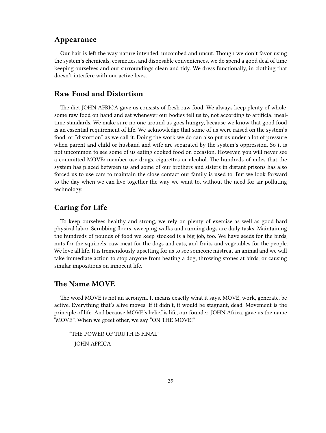#### <span id="page-38-0"></span>**Appearance**

Our hair is left the way nature intended, uncombed and uncut. Though we don't favor using the system's chemicals, cosmetics, and disposable conveniences, we do spend a good deal of time keeping ourselves and our surroundings clean and tidy. We dress functionally, in clothing that doesn't interfere with our active lives.

#### <span id="page-38-1"></span>**Raw Food and Distortion**

The diet JOHN AFRICA gave us consists of fresh raw food. We always keep plenty of wholesome raw food on hand and eat whenever our bodies tell us to, not according to artificial mealtime standards. We make sure no one around us goes hungry, because we know that good food is an essential requirement of life. We acknowledge that some of us were raised on the system's food, or "distortion" as we call it. Doing the work we do can also put us under a lot of pressure when parent and child or husband and wife are separated by the system's oppression. So it is not uncommon to see some of us eating cooked food on occasion. However, you will never see a committed MOVE: member use drugs, cigarettes or alcohol. The hundreds of miles that the system has placed between us and some of our brothers and sisters in distant prisons has also forced us to use cars to maintain the close contact our family is used to. But we look forward to the day when we can live together the way we want to, without the need for air polluting technology.

#### <span id="page-38-2"></span>**Caring for Life**

To keep ourselves healthy and strong, we rely on plenty of exercise as well as good hard physical labor. Scrubbing floors. sweeping walks and running dogs are daily tasks. Maintaining the hundreds of pounds of food we keep stocked is a big job, too. We have seeds for the birds, nuts for the squirrels, raw meat for the dogs and cats, and fruits and vegetables for the people. We love all life. It is tremendously upsetting for us to see someone mistreat an animal and we will take immediate action to stop anyone from beating a dog, throwing stones at birds, or causing similar impositions on innocent life.

#### <span id="page-38-3"></span>**The Name MOVE**

The word MOVE is not an acronym. It means exactly what it says. MOVE, work, generate, be active. Everything that's alive moves. If it didn't, it would be stagnant, dead. Movement is the principle of life. And because MOVE's belief is life, our founder, JOHN Africa, gave us the name "MOVE". When we greet other, we say "ON THE MOVE!"

"THE POWER OF TRUTH IS FINAL" — JOHN AFRICA